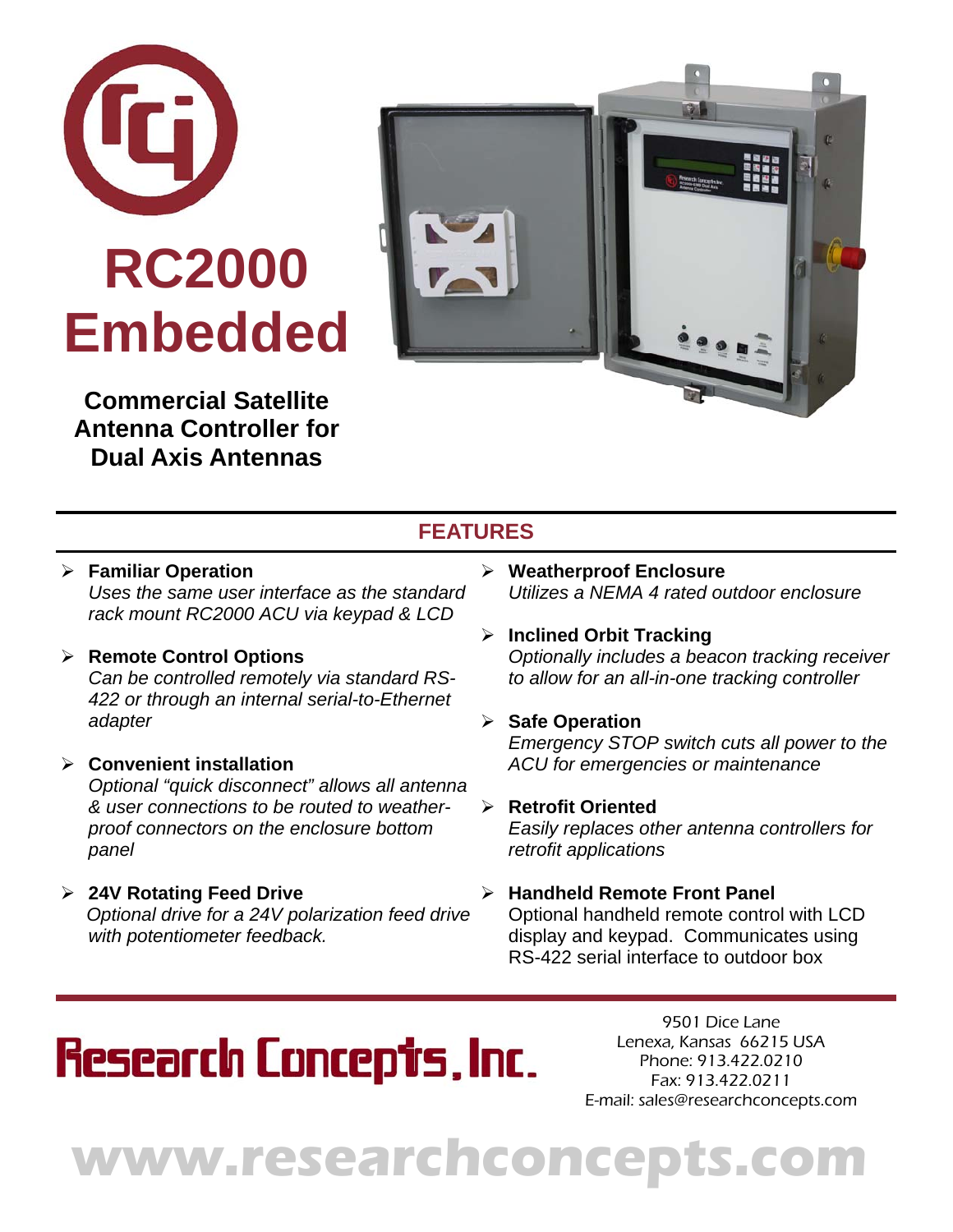

**Commercial Satellite Antenna Controller for Dual Axis Antennas** 



### **FEATURES**

- **Familiar Operation**  *Uses the same user interface as the standard rack mount RC2000 ACU via keypad & LCD*
- **Remote Control Options**  *Can be controlled remotely via standard RS-422 or through an internal serial-to-Ethernet adapter*
- **Convenient installation**  *Optional "quick disconnect" allows all antenna & user connections to be routed to weatherproof connectors on the enclosure bottom panel*
- **24V Rotating Feed Drive**   *Optional drive for a 24V polarization feed drive with potentiometer feedback.*
- **Weatherproof Enclosure**  *Utilizes a NEMA 4 rated outdoor enclosure*
- **Inclined Orbit Tracking**  *Optionally includes a beacon tracking receiver to allow for an all-in-one tracking controller*
- **Safe Operation**  *Emergency STOP switch cuts all power to the ACU for emergencies or maintenance*
- **Retrofit Oriented**

*Easily replaces other antenna controllers for retrofit applications* 

**Handheld Remote Front Panel** 

Optional handheld remote control with LCD display and keypad. Communicates using RS-422 serial interface to outdoor box

# **Research Concepts, Inc.**

9501 Dice Lane Lenexa, Kansas 66215 USA Phone: 913.422.0210 Fax: 913.422.0211 E-mail: sales@researchconcepts.com

# **www.researchconcepts.com**